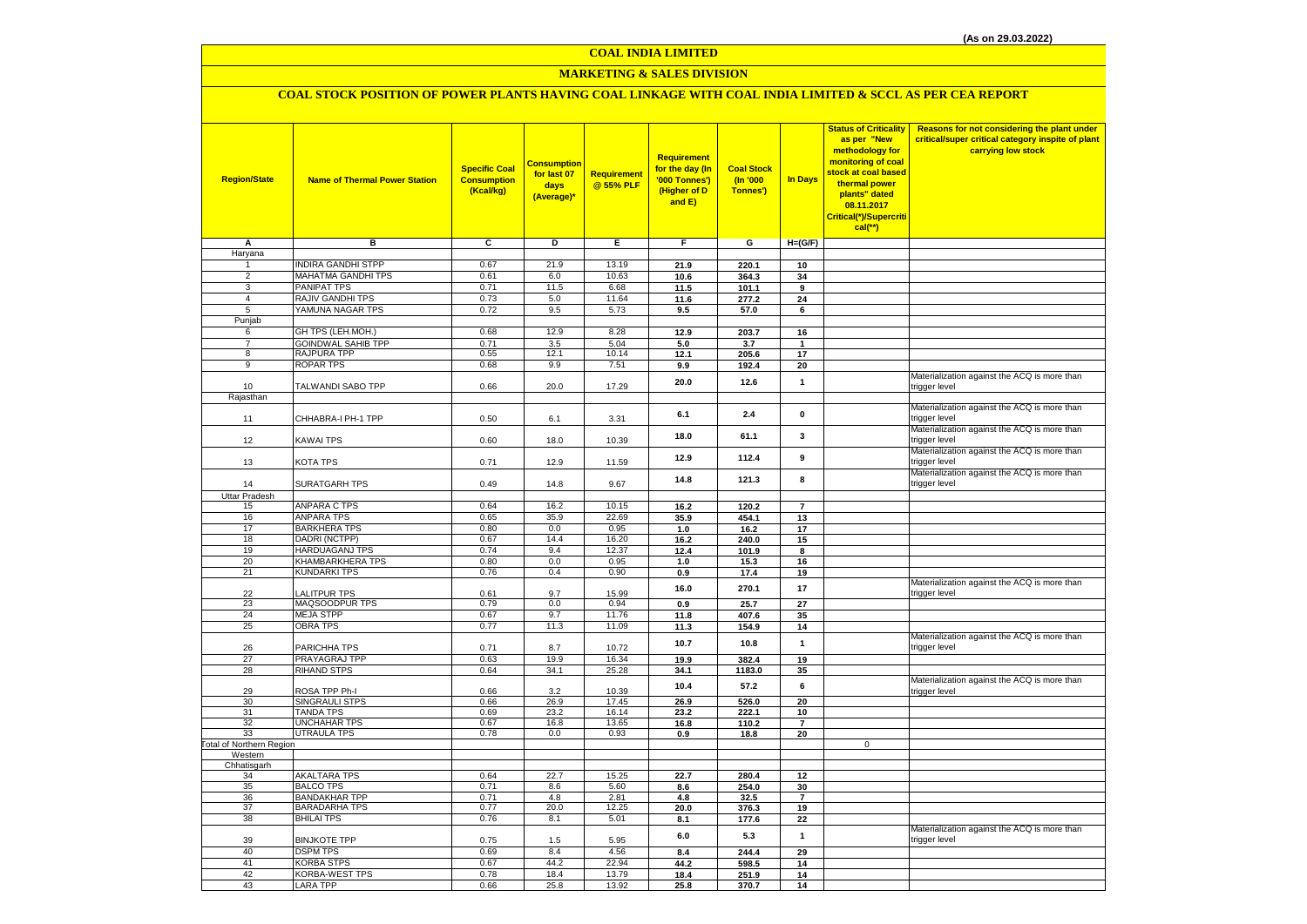# **MARKETING & SALES DIVISION**

| <b>Region/State</b>                        | <b>Name of Thermal Power Station</b> | <b>Specific Coal</b><br><b>Consumption</b><br>(Kcal/kg) | <b>Consumption</b><br>for last 07<br>days<br>(Average)* | Requirement<br>@ 55% PLF | <b>Requirement</b><br>for the day (In<br>'000 Tonnes')<br>(Higher of D<br>and E) | <b>Coal Stock</b><br>$($ ln '000<br>Tonnes') | In Days                 | <b>Status of Criticality</b><br>as per "New<br>methodology for<br>monitoring of coal<br><mark>stock at coal based</mark><br>thermal power<br>plants" dated<br>08.11.2017<br>Critical(*)/Supercriti<br>$cal$ (**) | Reasons for not considering the plant under<br>critical/super critical category inspite of plant<br>carrying low stock |
|--------------------------------------------|--------------------------------------|---------------------------------------------------------|---------------------------------------------------------|--------------------------|----------------------------------------------------------------------------------|----------------------------------------------|-------------------------|------------------------------------------------------------------------------------------------------------------------------------------------------------------------------------------------------------------|------------------------------------------------------------------------------------------------------------------------|
| Δ                                          | $\overline{B}$                       | $\overline{c}$                                          | D                                                       | Ε                        | F                                                                                | G                                            | $H=(G/F)$               |                                                                                                                                                                                                                  |                                                                                                                        |
| Haryana                                    |                                      |                                                         |                                                         |                          |                                                                                  |                                              |                         |                                                                                                                                                                                                                  |                                                                                                                        |
| -1                                         | <b>INDIRA GANDHI STPP</b>            | 0.67                                                    | 21.9                                                    | 13.19                    | 21.9                                                                             | 220.1                                        | 10                      |                                                                                                                                                                                                                  |                                                                                                                        |
| 2                                          | MAHATMA GANDHI TPS                   | 0.61                                                    | 6.0                                                     | 10.63                    | 10.6                                                                             | 364.3                                        | 34                      |                                                                                                                                                                                                                  |                                                                                                                        |
| 3<br>$\overline{4}$                        | PANIPAT TPS<br>RAJIV GANDHI TPS      | 0.71<br>0.73                                            | 11.5<br>5.0                                             | 6.68<br>11.64            | 11.5                                                                             | 101.1                                        | 9                       |                                                                                                                                                                                                                  |                                                                                                                        |
| 5                                          | YAMUNA NAGAR TPS                     | 0.72                                                    | 9.5                                                     | 5.73                     | 11.6<br>9.5                                                                      | 277.2<br>57.0                                | 24<br>6                 |                                                                                                                                                                                                                  |                                                                                                                        |
| Punjab                                     |                                      |                                                         |                                                         |                          |                                                                                  |                                              |                         |                                                                                                                                                                                                                  |                                                                                                                        |
| 6                                          | GH TPS (LEH.MOH.)                    | 0.68                                                    | 12.9                                                    | 8.28                     | 12.9                                                                             | 203.7                                        | 16                      |                                                                                                                                                                                                                  |                                                                                                                        |
| $\overline{7}$                             | <b>GOINDWAL SAHIB TPP</b>            | 0.71                                                    | 3.5                                                     | 5.04                     | 5.0                                                                              | 3.7                                          | $\mathbf{1}$            |                                                                                                                                                                                                                  |                                                                                                                        |
| $\bf8$                                     | RAJPURA TPP                          | 0.55                                                    | 12.1                                                    | 10.14                    | 12.1                                                                             | 205.6                                        | 17                      |                                                                                                                                                                                                                  |                                                                                                                        |
| 9                                          | ROPAR TPS                            | 0.68                                                    | 9.9                                                     | 7.51                     | 9.9                                                                              | 192.4                                        | 20                      |                                                                                                                                                                                                                  |                                                                                                                        |
|                                            |                                      |                                                         |                                                         |                          | 20.0                                                                             | 12.6                                         | $\mathbf{1}$            |                                                                                                                                                                                                                  | Materialization against the ACQ is more than                                                                           |
| 10                                         | TALWANDI SABO TPP                    | 0.66                                                    | 20.0                                                    | 17.29                    |                                                                                  |                                              |                         |                                                                                                                                                                                                                  | trigger level                                                                                                          |
| Rajasthan                                  |                                      |                                                         |                                                         |                          |                                                                                  |                                              |                         |                                                                                                                                                                                                                  |                                                                                                                        |
|                                            |                                      |                                                         |                                                         |                          | 6.1                                                                              | 2.4                                          | $\mathbf 0$             |                                                                                                                                                                                                                  | Materialization against the ACQ is more than<br>trigger level                                                          |
| 11                                         | CHHABRA-I PH-1 TPP                   | 0.50                                                    | 6.1                                                     | 3.31                     |                                                                                  |                                              |                         |                                                                                                                                                                                                                  | Materialization against the ACQ is more than                                                                           |
| 12                                         | KAWAI TPS                            | 0.60                                                    | 18.0                                                    | 10.39                    | 18.0                                                                             | 61.1                                         | 3                       |                                                                                                                                                                                                                  | trigger level                                                                                                          |
|                                            |                                      |                                                         |                                                         |                          |                                                                                  |                                              |                         |                                                                                                                                                                                                                  | Materialization against the ACQ is more than                                                                           |
| 13                                         | KOTA TPS                             | 0.71                                                    | 12.9                                                    | 11.59                    | 12.9                                                                             | 112.4                                        | $\overline{9}$          |                                                                                                                                                                                                                  | trigger level                                                                                                          |
|                                            |                                      |                                                         |                                                         |                          |                                                                                  |                                              |                         |                                                                                                                                                                                                                  | Materialization against the ACQ is more than                                                                           |
| 14                                         | SURATGARH TPS                        | 0.49                                                    | 14.8                                                    | 9.67                     | 14.8                                                                             | 121.3                                        | 8                       |                                                                                                                                                                                                                  | trigger level                                                                                                          |
| Uttar Pradesh                              |                                      |                                                         |                                                         |                          |                                                                                  |                                              |                         |                                                                                                                                                                                                                  |                                                                                                                        |
| 15                                         | <b>ANPARA C TPS</b>                  | 0.64                                                    | 16.2                                                    | 10.15                    | 16.2                                                                             | 120.2                                        | $\overline{7}$          |                                                                                                                                                                                                                  |                                                                                                                        |
| 16                                         | <b>ANPARA TPS</b>                    | 0.65                                                    | 35.9                                                    | 22.69                    | 35.9                                                                             | 454.1                                        | 13                      |                                                                                                                                                                                                                  |                                                                                                                        |
| 17                                         | <b>BARKHERA TPS</b>                  | 0.80                                                    | 0.0                                                     | 0.95                     | 1.0                                                                              | 16.2                                         | 17                      |                                                                                                                                                                                                                  |                                                                                                                        |
| 18                                         | <b>DADRI (NCTPP)</b>                 | 0.67                                                    | 14.4                                                    | 16.20                    | 16.2                                                                             | 240.0                                        | 15                      |                                                                                                                                                                                                                  |                                                                                                                        |
| 19                                         | <b>HARDUAGANJ TPS</b>                | 0.74                                                    | 9.4                                                     | 12.37                    | 12.4                                                                             | 101.9                                        | 8                       |                                                                                                                                                                                                                  |                                                                                                                        |
| 20<br>21                                   | KHAMBARKHERA TPS<br>KUNDARKI TPS     | 0.80<br>0.76                                            | 0.0<br>0.4                                              | 0.95<br>0.90             | 1.0<br>0.9                                                                       | 15.3<br>17.4                                 | 16<br>19                |                                                                                                                                                                                                                  |                                                                                                                        |
|                                            |                                      |                                                         |                                                         |                          |                                                                                  |                                              |                         |                                                                                                                                                                                                                  | Materialization against the ACQ is more than                                                                           |
| 22                                         | <b>ALITPUR TPS</b>                   | 0.61                                                    | 9.7                                                     | 15.99                    | 16.0                                                                             | 270.1                                        | 17                      |                                                                                                                                                                                                                  | trigger level                                                                                                          |
| 23                                         | MAQSOODPUR TPS                       | 0.79                                                    | 0.0                                                     | 0.94                     | 0.9                                                                              | 25.7                                         | 27                      |                                                                                                                                                                                                                  |                                                                                                                        |
| 24                                         | <b>MEJA STPP</b>                     | 0.67                                                    | 9.7                                                     | 11.76                    | 11.8                                                                             | 407.6                                        | 35                      |                                                                                                                                                                                                                  |                                                                                                                        |
| 25                                         | <b>OBRA TPS</b>                      | 0.77                                                    | 11.3                                                    | 11.09                    | 11.3                                                                             | 154.9                                        | 14                      |                                                                                                                                                                                                                  |                                                                                                                        |
|                                            |                                      |                                                         |                                                         |                          | 10.7                                                                             | 10.8                                         | $\mathbf{1}$            |                                                                                                                                                                                                                  | Materialization against the ACQ is more than                                                                           |
| 26                                         | PARICHHA TPS                         | 0.71                                                    | 8.7                                                     | 10.72                    |                                                                                  |                                              |                         |                                                                                                                                                                                                                  | trigger level                                                                                                          |
| 27<br>28                                   | PRAYAGRAJ TPP<br><b>RIHAND STPS</b>  | 0.63<br>0.64                                            | 19.9<br>34.1                                            | 16.34<br>25.28           | 19.9<br>34.1                                                                     | 382.4<br>1183.0                              | 19<br>35                |                                                                                                                                                                                                                  |                                                                                                                        |
|                                            |                                      |                                                         |                                                         |                          |                                                                                  |                                              |                         |                                                                                                                                                                                                                  | Materialization against the ACQ is more than                                                                           |
| 29                                         | ROSA TPP Ph-I                        | 0.66                                                    | 3.2                                                     | 10.39                    | 10.4                                                                             | 57.2                                         | 6                       |                                                                                                                                                                                                                  | trigger level                                                                                                          |
| 30                                         | SINGRAULI STPS                       | 0.66                                                    | 26.9                                                    | 17.45                    | 26.9                                                                             | 526.0                                        | 20                      |                                                                                                                                                                                                                  |                                                                                                                        |
| 31                                         | <b>TANDA TPS</b>                     | 0.69                                                    | 23.2                                                    | 16.14                    | 23.2                                                                             | 222.1                                        | 10                      |                                                                                                                                                                                                                  |                                                                                                                        |
| 32                                         | <b>UNCHAHAR TPS</b>                  | 0.67                                                    | 16.8                                                    | 13.65                    | 16.8                                                                             | 110.2                                        | $\overline{\mathbf{r}}$ |                                                                                                                                                                                                                  |                                                                                                                        |
| 33                                         | <b>UTRAULA TPS</b>                   | 0.78                                                    | 0.0                                                     | 0.93                     | 0.9                                                                              | 18.8                                         | 20                      |                                                                                                                                                                                                                  |                                                                                                                        |
| <b>Total of Northern Region</b><br>Western |                                      |                                                         |                                                         |                          |                                                                                  |                                              |                         | $\Omega$                                                                                                                                                                                                         |                                                                                                                        |
| Chhatisgarh                                |                                      |                                                         |                                                         |                          |                                                                                  |                                              |                         |                                                                                                                                                                                                                  |                                                                                                                        |
| 34                                         | <b>AKALTARA TPS</b>                  | 0.64                                                    | 22.7                                                    | 15.25                    | 22.7                                                                             | 280.4                                        | 12                      |                                                                                                                                                                                                                  |                                                                                                                        |
| 35                                         | <b>BALCO TPS</b>                     | 0.71                                                    | 8.6                                                     | 5.60                     | 8.6                                                                              | 254.0                                        | 30                      |                                                                                                                                                                                                                  |                                                                                                                        |
| 36                                         | <b>BANDAKHAR TPP</b>                 | 0.71                                                    | 4.8                                                     | 2.81                     | 4.8                                                                              | 32.5                                         | $\overline{7}$          |                                                                                                                                                                                                                  |                                                                                                                        |
| 37                                         | <b>BARADARHA TPS</b>                 | 0.77                                                    | 20.0                                                    | 12.25                    | 20.0                                                                             | 376.3                                        | 19                      |                                                                                                                                                                                                                  |                                                                                                                        |
| 38                                         | <b>BHILAI TPS</b>                    | 0.76                                                    | 8.1                                                     | 5.01                     | 8.1                                                                              | 177.6                                        | 22                      |                                                                                                                                                                                                                  |                                                                                                                        |
| 39                                         | <b>BINJKOTE TPP</b>                  | 0.75                                                    | 1.5                                                     | 5.95                     | 6.0                                                                              | 5.3                                          | $\mathbf{1}$            |                                                                                                                                                                                                                  | Materialization against the ACQ is more than<br>trigger level                                                          |
| 40                                         | <b>DSPM TPS</b>                      | 0.69                                                    | 8.4                                                     | 4.56                     | 8.4                                                                              | 244.4                                        | 29                      |                                                                                                                                                                                                                  |                                                                                                                        |
| 41                                         | <b>KORBA STPS</b>                    | 0.67                                                    | 44.2                                                    | 22.94                    | 44.2                                                                             | 598.5                                        | 14                      |                                                                                                                                                                                                                  |                                                                                                                        |
| 42                                         | KORBA-WEST TPS                       | 0.78                                                    | 18.4                                                    | 13.79                    | 18.4                                                                             | 251.9                                        | 14                      |                                                                                                                                                                                                                  |                                                                                                                        |
| 43                                         | <b>LARA TPP</b>                      | 0.66                                                    | 25.8                                                    | 13.92                    | 25.8                                                                             | 370.7                                        | 14                      |                                                                                                                                                                                                                  |                                                                                                                        |
|                                            |                                      |                                                         |                                                         |                          |                                                                                  |                                              |                         |                                                                                                                                                                                                                  |                                                                                                                        |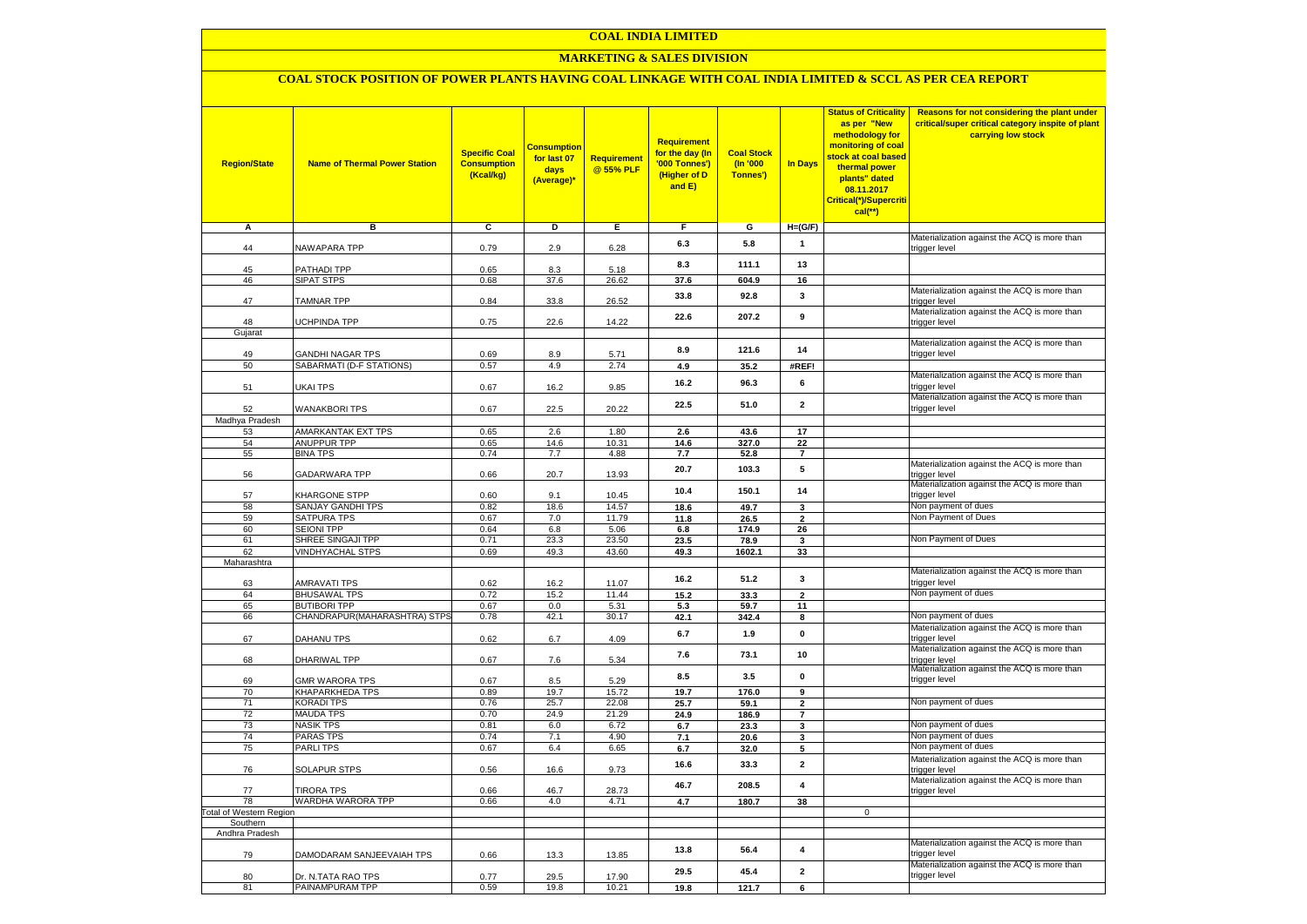# **MARKETING & SALES DIVISION**

| <b>Region/State</b>                        | <b>Name of Thermal Power Station</b>         | <b>Specific Coal</b><br><b>Consumption</b><br>(Kcal/kg) | <b>Consumption</b><br>for last 07<br>days<br>(Average)* | <b>Requirement</b><br>@ 55% PLF | Requirement<br>for the day (In<br>'000 Tonnes')<br>(Higher of D<br>and $E$ ) | <b>Coal Stock</b><br>(n'000)<br>Tonnes') | In Days                 | <b>Status of Criticality</b><br>as per "New<br>methodology for<br>monitoring of coal<br>stock at coal based<br>thermal power<br>plants" dated<br>08.11.2017<br>Critical(*)/Supercriti<br>$cal$ (**) | Reasons for not considering the plant under<br>critical/super critical category inspite of plant<br>carrying low stock |
|--------------------------------------------|----------------------------------------------|---------------------------------------------------------|---------------------------------------------------------|---------------------------------|------------------------------------------------------------------------------|------------------------------------------|-------------------------|-----------------------------------------------------------------------------------------------------------------------------------------------------------------------------------------------------|------------------------------------------------------------------------------------------------------------------------|
| Α                                          | в                                            | C                                                       | D                                                       | Е                               | F                                                                            | G                                        | $H=(G/F)$               |                                                                                                                                                                                                     | Materialization against the ACQ is more than                                                                           |
| 44                                         | NAWAPARA TPP                                 | 0.79                                                    | 2.9                                                     | 6.28                            | 6.3                                                                          | 5.8                                      | $\mathbf{1}$            |                                                                                                                                                                                                     | trigger level                                                                                                          |
| 45                                         | <b>PATHADI TPP</b>                           | 0.65                                                    | 8.3                                                     | 5.18                            | 8.3                                                                          | 111.1                                    | 13                      |                                                                                                                                                                                                     |                                                                                                                        |
| 46                                         | <b>SIPAT STPS</b>                            | 0.68                                                    | 37.6                                                    | 26.62                           | 37.6                                                                         | 604.9                                    | 16                      |                                                                                                                                                                                                     |                                                                                                                        |
| 47                                         | <b>TAMNAR TPP</b>                            | 0.84                                                    | 33.8                                                    | 26.52                           | 33.8                                                                         | 92.8                                     | 3                       |                                                                                                                                                                                                     | Materialization against the ACQ is more than<br>trigger level                                                          |
| 48                                         | JCHPINDA TPP                                 | 0.75                                                    | 22.6                                                    | 14.22                           | 22.6                                                                         | 207.2                                    | 9                       |                                                                                                                                                                                                     | Materialization against the ACQ is more than<br>trigger level                                                          |
| Gujarat                                    |                                              |                                                         |                                                         |                                 |                                                                              |                                          |                         |                                                                                                                                                                                                     | Materialization against the ACQ is more than                                                                           |
| 49<br>50                                   | GANDHI NAGAR TPS<br>SABARMATI (D-F STATIONS) | 0.69<br>0.57                                            | 8.9<br>4.9                                              | 5.71                            | 8.9                                                                          | 121.6<br>35.2                            | 14<br>#REF!             |                                                                                                                                                                                                     | trigger level                                                                                                          |
|                                            |                                              |                                                         |                                                         | 2.74                            | 4.9                                                                          |                                          |                         |                                                                                                                                                                                                     | Materialization against the ACQ is more than                                                                           |
| 51                                         | UKAI TPS                                     | 0.67                                                    | 16.2                                                    | 9.85                            | 16.2                                                                         | 96.3                                     | 6                       |                                                                                                                                                                                                     | trigger level<br>Materialization against the ACQ is more than                                                          |
| 52<br>Madhya Pradesh                       | <b>WANAKBORI TPS</b>                         | 0.67                                                    | 22.5                                                    | 20.22                           | 22.5                                                                         | 51.0                                     | $\mathbf{2}$            |                                                                                                                                                                                                     | trigger level                                                                                                          |
| 53                                         | AMARKANTAK EXT TPS                           | 0.65                                                    | 2.6                                                     | 1.80                            | 2.6                                                                          | 43.6                                     | $\overline{17}$         |                                                                                                                                                                                                     |                                                                                                                        |
| 54                                         | ANUPPUR TPP                                  | 0.65                                                    | 14.6                                                    | 10.31                           | 14.6                                                                         | 327.0                                    | 22                      |                                                                                                                                                                                                     |                                                                                                                        |
| 55                                         | <b>BINA TPS</b>                              | 0.74                                                    | 7.7                                                     | 4.88                            | 7.7                                                                          | 52.8                                     | $\overline{7}$          |                                                                                                                                                                                                     |                                                                                                                        |
| 56                                         | <b>GADARWARA TPP</b>                         | 0.66                                                    | 20.7                                                    | 13.93                           | 20.7                                                                         | 103.3                                    | 5                       |                                                                                                                                                                                                     | Materialization against the ACQ is more than<br>trigger level                                                          |
| 57                                         | KHARGONE STPP                                | 0.60                                                    | 9.1                                                     | 10.45                           | 10.4                                                                         | 150.1                                    | 14                      |                                                                                                                                                                                                     | Materialization against the ACQ is more than<br>trigger level                                                          |
| 58                                         | SANJAY GANDHI TPS                            | 0.82                                                    | 18.6                                                    | 14.57                           | 18.6                                                                         | 49.7                                     | 3                       |                                                                                                                                                                                                     | Non payment of dues                                                                                                    |
| 59<br>60                                   | <b>SATPURA TPS</b><br><b>SEIONI TPP</b>      | 0.67                                                    | 7.0                                                     | 11.79                           | 11.8                                                                         | 26.5                                     | $\mathbf{2}$            |                                                                                                                                                                                                     | Non Payment of Dues                                                                                                    |
| 61                                         | SHREE SINGAJI TPP                            | 0.64<br>0.71                                            | 6.8<br>23.3                                             | 5.06<br>23.50                   | $\bf6.8$<br>23.5                                                             | 174.9<br>78.9                            | 26<br>3                 |                                                                                                                                                                                                     | Non Payment of Dues                                                                                                    |
| 62                                         | VINDHYACHAL STPS                             | 0.69                                                    | 49.3                                                    | 43.60                           | 49.3                                                                         | 1602.1                                   | 33                      |                                                                                                                                                                                                     |                                                                                                                        |
| Maharashtra                                |                                              |                                                         |                                                         |                                 |                                                                              |                                          |                         |                                                                                                                                                                                                     |                                                                                                                        |
| 63                                         | AMRAVATI TPS                                 | 0.62                                                    | 16.2                                                    | 11.07                           | 16.2                                                                         | 51.2                                     | 3                       |                                                                                                                                                                                                     | Materialization against the ACQ is more than<br>trigger level                                                          |
| 64                                         | <b>BHUSAWAL TPS</b>                          | 0.72                                                    | 15.2                                                    | 11.44                           | 15.2                                                                         | 33.3                                     | $\overline{2}$          |                                                                                                                                                                                                     | Non payment of dues                                                                                                    |
| 65                                         | <b>BUTIBORI TPP</b>                          | 0.67                                                    | 0.0                                                     | 5.31                            | 5.3                                                                          | 59.7                                     | 11                      |                                                                                                                                                                                                     |                                                                                                                        |
| 66                                         | CHANDRAPUR(MAHARASHTRA) STPS                 | 0.78                                                    | 42.1                                                    | 30.17                           | 42.1                                                                         | 342.4                                    | 8                       |                                                                                                                                                                                                     | Non payment of dues<br>Materialization against the ACQ is more than                                                    |
| 67                                         | DAHANU TPS                                   | 0.62                                                    | 6.7                                                     | 4.09                            | 6.7                                                                          | 1.9                                      | $\pmb{0}$               |                                                                                                                                                                                                     | trigger level<br>Materialization against the ACQ is more than                                                          |
| 68                                         | DHARIWAL TPP                                 | 0.67                                                    | 7.6                                                     | 5.34                            | 7.6                                                                          | 73.1                                     | 10                      |                                                                                                                                                                                                     | trigger level<br>Materialization against the ACQ is more than                                                          |
| 69                                         | <b>GMR WARORA TPS</b>                        | 0.67                                                    | 8.5                                                     | 5.29                            | 8.5                                                                          | 3.5                                      | $\pmb{0}$               |                                                                                                                                                                                                     | trigger level                                                                                                          |
| 70<br>71                                   | <b>KHAPARKHEDA TPS</b><br>KORADI TPS         | 0.89<br>0.76                                            | 19.7<br>25.7                                            | 15.72<br>22.08                  | 19.7<br>25.7                                                                 | 176.0<br>59.1                            | 9<br>$\mathbf{2}$       |                                                                                                                                                                                                     | Non payment of dues                                                                                                    |
| 72                                         | <b>MAUDA TPS</b>                             | 0.70                                                    | 24.9                                                    | 21.29                           | 24.9                                                                         | 186.9                                    | $\overline{7}$          |                                                                                                                                                                                                     |                                                                                                                        |
| 73                                         | <b>NASIK TPS</b>                             | 0.81                                                    | 6.0                                                     | 6.72                            | 6.7                                                                          | 23.3                                     | 3                       |                                                                                                                                                                                                     | Non payment of dues                                                                                                    |
| 74                                         | <b>PARAS TPS</b>                             | 0.74                                                    | 7.1                                                     | 4.90                            | 7.1                                                                          | 20.6                                     | 3                       |                                                                                                                                                                                                     | Non payment of dues                                                                                                    |
| 75                                         | PARLI TPS                                    | 0.67                                                    | 6.4                                                     | 6.65                            | 6.7                                                                          | 32.0                                     | 5                       |                                                                                                                                                                                                     | Non payment of dues                                                                                                    |
| 76                                         | <b>SOLAPUR STPS</b>                          | 0.56                                                    | 16.6                                                    | 9.73                            | 16.6                                                                         | 33.3                                     | $\overline{\mathbf{2}}$ |                                                                                                                                                                                                     | Materialization against the ACQ is more than<br>trigger level                                                          |
| 77                                         | <b>TIRORA TPS</b>                            | 0.66                                                    | 46.7                                                    | 28.73                           | 46.7                                                                         | 208.5                                    | 4                       |                                                                                                                                                                                                     | Materialization against the ACQ is more than<br>trigger level                                                          |
| 78                                         | WARDHA WARORA TPP                            | 0.66                                                    | 4.0                                                     | 4.71                            | 4.7                                                                          | 180.7                                    | 38                      | $\mathbf{0}$                                                                                                                                                                                        |                                                                                                                        |
| <b>Total of Western Region</b><br>Southern |                                              |                                                         |                                                         |                                 |                                                                              |                                          |                         |                                                                                                                                                                                                     |                                                                                                                        |
| Andhra Pradesh                             |                                              |                                                         |                                                         |                                 |                                                                              |                                          |                         |                                                                                                                                                                                                     |                                                                                                                        |
| 79                                         | DAMODARAM SANJEEVAIAH TPS                    | 0.66                                                    | 13.3                                                    | 13.85                           | 13.8                                                                         | 56.4                                     | $\overline{\mathbf{4}}$ |                                                                                                                                                                                                     | Materialization against the ACQ is more than<br>trigger level                                                          |
| 80                                         | Dr. N.TATA RAO TPS                           | 0.77                                                    | 29.5                                                    | 17.90                           | 29.5                                                                         | 45.4                                     | $\mathbf{2}$            |                                                                                                                                                                                                     | Materialization against the ACQ is more than<br>trigger level                                                          |
| 81                                         | PAINAMPURAM TPP                              | 0.59                                                    | 19.8                                                    | 10.21                           | 19.8                                                                         | 121.7                                    | 6                       |                                                                                                                                                                                                     |                                                                                                                        |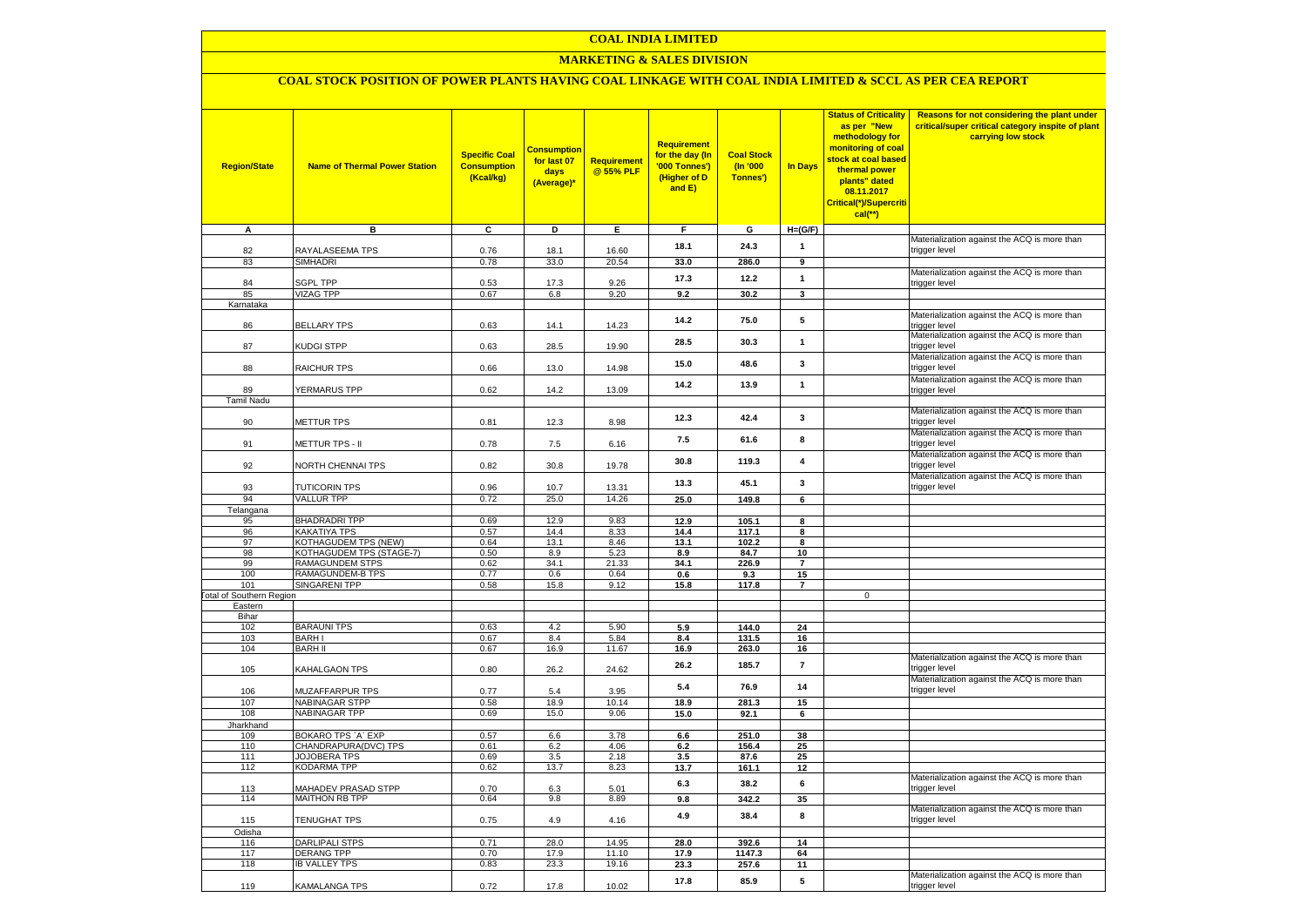#### **MARKETING & SALES DIVISION**

| <b>Region/State</b>                    | <b>Name of Thermal Power Station</b>        | <b>Specific Coal</b><br><b>Consumption</b><br>(Kcal/kg) | <b>Consumption</b><br>for last 07<br>days<br>(Average)* | Requirement<br>@ 55% PLF | <b>Requirement</b><br><mark>for the day (In</mark><br>'000 Tonnes')<br>(Higher of D<br>and E) | <b>Coal Stock</b><br>(n'000)<br>Tonnes') | <b>In Days</b>          | <b>Status of Criticality</b><br>as per "New<br>methodology for<br>monitoring of coal<br>stock at coal based<br>thermal power<br>plants" dated<br>08.11.2017<br>Critical(*)/Supercriti<br>$cal$ (**) | Reasons for not considering the plant under<br>critical/super critical category inspite of plant<br>carrying low stock |
|----------------------------------------|---------------------------------------------|---------------------------------------------------------|---------------------------------------------------------|--------------------------|-----------------------------------------------------------------------------------------------|------------------------------------------|-------------------------|-----------------------------------------------------------------------------------------------------------------------------------------------------------------------------------------------------|------------------------------------------------------------------------------------------------------------------------|
| А                                      | в                                           | C                                                       | D                                                       | Е.                       | F.                                                                                            | G                                        | $H=(G/F)$               |                                                                                                                                                                                                     |                                                                                                                        |
| 82                                     | RAYALASEEMA TPS                             | 0.76                                                    | 18.1                                                    | 16.60                    | 18.1                                                                                          | 24.3                                     | $\mathbf{1}$            |                                                                                                                                                                                                     | Materialization against the ACQ is more than<br>trigger level                                                          |
| 83                                     | <b>SIMHADRI</b>                             | 0.78                                                    | 33.0                                                    | 20.54                    | 33.0                                                                                          | 286.0                                    | 9                       |                                                                                                                                                                                                     |                                                                                                                        |
|                                        |                                             |                                                         |                                                         |                          | 17.3                                                                                          | 12.2                                     | $\mathbf{1}$            |                                                                                                                                                                                                     | Materialization against the ACQ is more than                                                                           |
| 84<br>85                               | <b>SGPL TPP</b><br><b>VIZAG TPP</b>         | 0.53<br>0.67                                            | 17.3<br>6.8                                             | 9.26<br>9.20             | 9.2                                                                                           | 30.2                                     | $\overline{\mathbf{3}}$ |                                                                                                                                                                                                     | trigger level                                                                                                          |
| Karnataka                              |                                             |                                                         |                                                         |                          |                                                                                               |                                          |                         |                                                                                                                                                                                                     |                                                                                                                        |
|                                        |                                             |                                                         |                                                         |                          | 14.2                                                                                          | 75.0                                     | 5                       |                                                                                                                                                                                                     | Materialization against the ACQ is more than                                                                           |
| 86                                     | <b>BELLARY TPS</b>                          | 0.63                                                    | 14.1                                                    | 14.23                    |                                                                                               |                                          |                         |                                                                                                                                                                                                     | trigger level                                                                                                          |
| 87                                     | KUDGI STPP                                  | 0.63                                                    | 28.5                                                    | 19.90                    | 28.5                                                                                          | 30.3                                     | $\mathbf{1}$            |                                                                                                                                                                                                     | Materialization against the ACQ is more than<br>trigger level                                                          |
| 88                                     | RAICHUR TPS                                 | 0.66                                                    | 13.0                                                    | 14.98                    | 15.0                                                                                          | 48.6                                     | 3                       |                                                                                                                                                                                                     | Materialization against the ACQ is more than<br>trigger level                                                          |
| 89                                     | YERMARUS TPP                                | 0.62                                                    | 14.2                                                    | 13.09                    | 14.2                                                                                          | 13.9                                     | $\mathbf{1}$            |                                                                                                                                                                                                     | Materialization against the ACQ is more than<br>trigger level                                                          |
| <b>Tamil Nadu</b>                      |                                             |                                                         |                                                         |                          |                                                                                               |                                          |                         |                                                                                                                                                                                                     |                                                                                                                        |
| 90                                     | METTUR TPS                                  | 0.81                                                    | 12.3                                                    | 8.98                     | 12.3                                                                                          | 42.4                                     | 3                       |                                                                                                                                                                                                     | Materialization against the ACQ is more than<br>trigger level                                                          |
| 91                                     | METTUR TPS - II                             | 0.78                                                    | 7.5                                                     | 6.16                     | 7.5                                                                                           | 61.6                                     | 8                       |                                                                                                                                                                                                     | Materialization against the ACQ is more than<br>trigger level                                                          |
| 92                                     | NORTH CHENNAI TPS                           | 0.82                                                    | 30.8                                                    | 19.78                    | 30.8                                                                                          | 119.3                                    | $\overline{\mathbf{4}}$ |                                                                                                                                                                                                     | Materialization against the ACQ is more than<br>trigger level                                                          |
| 93                                     | <b>TUTICORIN TPS</b>                        | 0.96                                                    | 10.7                                                    | 13.31                    | 13.3                                                                                          | 45.1                                     | 3                       |                                                                                                                                                                                                     | Materialization against the ACQ is more than<br>trigger level                                                          |
| 94                                     | <b>VALLUR TPP</b>                           | 0.72                                                    | 25.0                                                    | 14.26                    | 25.0                                                                                          | 149.8                                    | 6                       |                                                                                                                                                                                                     |                                                                                                                        |
| Telangana                              |                                             |                                                         |                                                         |                          |                                                                                               |                                          |                         |                                                                                                                                                                                                     |                                                                                                                        |
| 95<br>96                               | <b>BHADRADRI TPP</b><br><b>KAKATIYA TPS</b> | 0.69<br>0.57                                            | 12.9<br>14.4                                            | 9.83<br>8.33             | 12.9<br>14.4                                                                                  | 105.1<br>117.1                           | 8<br>8                  |                                                                                                                                                                                                     |                                                                                                                        |
| 97                                     | <b>KOTHAGUDEM TPS (NEW)</b>                 | 0.64                                                    | 13.1                                                    | 8.46                     | 13.1                                                                                          | 102.2                                    | 8                       |                                                                                                                                                                                                     |                                                                                                                        |
| 98                                     | KOTHAGUDEM TPS (STAGE-7)                    | 0.50                                                    | 8.9                                                     | 5.23                     | 8.9                                                                                           | 84.7                                     | 10                      |                                                                                                                                                                                                     |                                                                                                                        |
| 99                                     | RAMAGUNDEM STPS                             | 0.62                                                    | 34.1                                                    | 21.33                    | 34.1                                                                                          | 226.9                                    | $\overline{7}$          |                                                                                                                                                                                                     |                                                                                                                        |
| 100                                    | RAMAGUNDEM-B TPS                            | 0.77                                                    | 0.6                                                     | 0.64                     | 0.6                                                                                           | 9.3                                      | 15                      |                                                                                                                                                                                                     |                                                                                                                        |
| 101<br><b>Fotal of Southern Region</b> | SINGARENI TPP                               | 0.58                                                    | 15.8                                                    | 9.12                     | 15.8                                                                                          | 117.8                                    | $\overline{7}$          | $\mathbf 0$                                                                                                                                                                                         |                                                                                                                        |
| Eastern                                |                                             |                                                         |                                                         |                          |                                                                                               |                                          |                         |                                                                                                                                                                                                     |                                                                                                                        |
| Bihar                                  |                                             |                                                         |                                                         |                          |                                                                                               |                                          |                         |                                                                                                                                                                                                     |                                                                                                                        |
| 102                                    | <b>BARAUNI TPS</b>                          | 0.63                                                    | 4.2                                                     | 5.90                     | 5.9                                                                                           | 144.0                                    | 24                      |                                                                                                                                                                                                     |                                                                                                                        |
| 103                                    | <b>BARHI</b>                                | 0.67                                                    | 8.4                                                     | 5.84                     | 8.4                                                                                           | 131.5                                    | 16                      |                                                                                                                                                                                                     |                                                                                                                        |
| 104                                    | <b>BARH II</b>                              | 0.67                                                    | 16.9                                                    | 11.67                    | 16.9                                                                                          | 263.0                                    | 16                      |                                                                                                                                                                                                     | Materialization against the ACQ is more than                                                                           |
| 105                                    | KAHALGAON TPS                               | 0.80                                                    | 26.2                                                    | 24.62                    | 26.2                                                                                          | 185.7                                    | $\overline{7}$          |                                                                                                                                                                                                     | trigger level<br>Materialization against the ACQ is more than                                                          |
| 106                                    | MUZAFFARPUR TPS                             | 0.77                                                    | 5.4                                                     | 3.95                     | 5.4                                                                                           | 76.9                                     | 14                      |                                                                                                                                                                                                     | trigger level                                                                                                          |
| 107<br>108                             | NABINAGAR STPP<br><b>NABINAGAR TPP</b>      | 0.58<br>0.69                                            | 18.9<br>15.0                                            | 10.14<br>9.06            | 18.9<br>15.0                                                                                  | 281.3<br>92.1                            | 15<br>6                 |                                                                                                                                                                                                     |                                                                                                                        |
| Jharkhand                              |                                             |                                                         |                                                         |                          |                                                                                               |                                          |                         |                                                                                                                                                                                                     |                                                                                                                        |
| 109                                    | BOKARO TPS `A` EXP                          | 0.57                                                    | $6.6\,$                                                 | 3.78                     | $\bf6.6$                                                                                      | 251.0                                    | 38                      |                                                                                                                                                                                                     |                                                                                                                        |
| 110                                    | CHANDRAPURA(DVC) TPS                        | 0.61                                                    | 6.2                                                     | 4.06                     | 6.2                                                                                           | 156.4                                    | 25                      |                                                                                                                                                                                                     |                                                                                                                        |
| 111                                    | <b>JOJOBERA TPS</b>                         | 0.69                                                    | 3.5                                                     | 2.18                     | 3.5                                                                                           | 87.6                                     | 25                      |                                                                                                                                                                                                     |                                                                                                                        |
| 112                                    | KODARMA TPP                                 | 0.62                                                    | 13.7                                                    | 8.23                     | 13.7                                                                                          | 161.1                                    | 12                      |                                                                                                                                                                                                     | Materialization against the ACQ is more than                                                                           |
| 113                                    | <b>MAHADEV PRASAD STPP</b>                  | 0.70                                                    | 6.3                                                     | 5.01                     | 6.3                                                                                           | 38.2                                     | 6                       |                                                                                                                                                                                                     | trigger level                                                                                                          |
| 114                                    | MAITHON RB TPP                              | 0.64                                                    | 9.8                                                     | 8.89                     | 9.8<br>4.9                                                                                    | 342.2<br>38.4                            | 35<br>8                 |                                                                                                                                                                                                     | Materialization against the ACQ is more than                                                                           |
| 115<br>Odisha                          | TENUGHAT TPS                                | 0.75                                                    | 4.9                                                     | 4.16                     |                                                                                               |                                          |                         |                                                                                                                                                                                                     | trigger level                                                                                                          |
| 116                                    | <b>DARLIPALI STPS</b>                       | 0.71                                                    | 28.0                                                    | 14.95                    | 28.0                                                                                          | 392.6                                    | 14                      |                                                                                                                                                                                                     |                                                                                                                        |
| 117                                    | DERANG TPP                                  | 0.70                                                    | 17.9                                                    | 11.10                    | 17.9                                                                                          | 1147.3                                   | 64                      |                                                                                                                                                                                                     |                                                                                                                        |
| 118                                    | <b>IB VALLEY TPS</b>                        | 0.83                                                    | 23.3                                                    | 19.16                    | 23.3                                                                                          | 257.6                                    | 11                      |                                                                                                                                                                                                     |                                                                                                                        |
| 119                                    | KAMALANGA TPS                               | 0.72                                                    | 17.8                                                    | 10.02                    | 17.8                                                                                          | 85.9                                     | 5                       |                                                                                                                                                                                                     | Materialization against the ACQ is more than<br>trigger level                                                          |